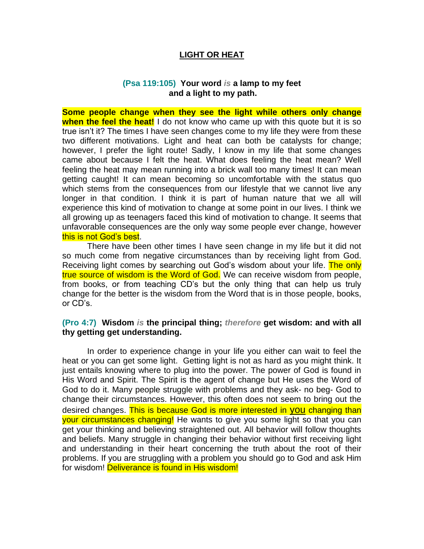### **LIGHT OR HEAT**

#### **(Psa 119:105) Your word** *is* **a lamp to my feet and a light to my path.**

**Some people change when they see the light while others only change when the feel the heat!** I do not know who came up with this quote but it is so true isn't it? The times I have seen changes come to my life they were from these two different motivations. Light and heat can both be catalysts for change; however, I prefer the light route! Sadly, I know in my life that some changes came about because I felt the heat. What does feeling the heat mean? Well feeling the heat may mean running into a brick wall too many times! It can mean getting caught! It can mean becoming so uncomfortable with the status quo which stems from the consequences from our lifestyle that we cannot live any longer in that condition. I think it is part of human nature that we all will experience this kind of motivation to change at some point in our lives. I think we all growing up as teenagers faced this kind of motivation to change. It seems that unfavorable consequences are the only way some people ever change, however this is not God's best.

There have been other times I have seen change in my life but it did not so much come from negative circumstances than by receiving light from God. Receiving light comes by searching out God's wisdom about your life. The only true source of wisdom is the Word of God. We can receive wisdom from people, from books, or from teaching CD's but the only thing that can help us truly change for the better is the wisdom from the Word that is in those people, books, or CD's.

#### **(Pro 4:7) Wisdom** *is* **the principal thing;** *therefore* **get wisdom: and with all thy getting get understanding.**

In order to experience change in your life you either can wait to feel the heat or you can get some light. Getting light is not as hard as you might think. It just entails knowing where to plug into the power. The power of God is found in His Word and Spirit. The Spirit is the agent of change but He uses the Word of God to do it. Many people struggle with problems and they ask- no beg- God to change their circumstances. However, this often does not seem to bring out the desired changes. This is because God is more interested in you changing than your circumstances changing! He wants to give you some light so that you can get your thinking and believing straightened out. All behavior will follow thoughts and beliefs. Many struggle in changing their behavior without first receiving light and understanding in their heart concerning the truth about the root of their problems. If you are struggling with a problem you should go to God and ask Him for wisdom! **Deliverance is found in His wisdom!**